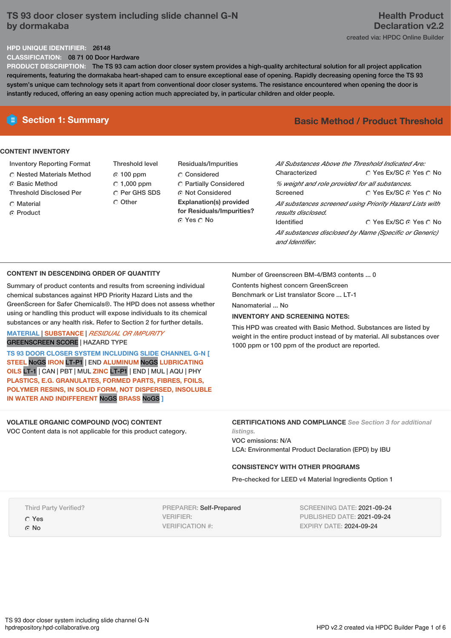# **TS 93 door closer system including slide channel G-N by dormakaba**

## **Health Product Declaration v2.2** created via: HPDC Online Builder

# **HPD UNIQUE IDENTIFIER:** 26148

**CLASSIFICATION:** 08 71 00 Door Hardware

**PRODUCT DESCRIPTION:** The TS 93 cam action door closer system provides a high-quality architectural solution for all project application requirements, featuring the dormakaba heart-shaped cam to ensure exceptional ease of opening. Rapidly decreasing opening force the TS 93 system's unique cam technology sets it apart from conventional door closer systems. The resistance encountered when opening the door is instantly reduced, offering an easy opening action much appreciated by, in particular children and older people.

#### **CONTENT INVENTORY**

- Inventory Reporting Format
- Nested Materials Method
- **C** Basic Method Threshold Disclosed Per
- 
- Material ⊙ Product
- Threshold level 100 ppm  $C$  1,000 ppm C Per GHS SDS C Other
- Residuals/Impurities C<sub>onsidered</sub> Partially Considered Not Considered **Explanation(s) provided for Residuals/Impurities?** © Yes ∩ No

# **E** Section 1: Summary **Basic** Method **/** Product Threshold

| All Substances Above the Threshold Indicated Are:<br>∩ Yes Ex/SC ∩ Yes ∩ No |                        |  |  |  |  |  |
|-----------------------------------------------------------------------------|------------------------|--|--|--|--|--|
| Characterized                                                               |                        |  |  |  |  |  |
| % weight and role provided for all substances.                              |                        |  |  |  |  |  |
| Screened                                                                    | ∩ Yes Ex/SC ∩ Yes ∩ No |  |  |  |  |  |
| All substances screened using Priority Hazard Lists with                    |                        |  |  |  |  |  |
| results disclosed.                                                          |                        |  |  |  |  |  |
| <b>Identified</b>                                                           | ∩ Yes Ex/SC ∩ Yes ∩ No |  |  |  |  |  |
| All substances disclosed by Name (Specific or Generic)<br>and Identifier.   |                        |  |  |  |  |  |

#### **CONTENT IN DESCENDING ORDER OF QUANTITY**

Summary of product contents and results from screening individual chemical substances against HPD Priority Hazard Lists and the GreenScreen for Safer Chemicals®. The HPD does not assess whether using or handling this product will expose individuals to its chemical substances or any health risk. Refer to Section 2 for further details.

### **MATERIAL** | **SUBSTANCE** | *RESIDUAL OR IMPURITY* GREENSCREEN SCORE | HAZARD TYPE

**TS 93 DOOR CLOSER SYSTEM INCLUDING SLIDE CHANNEL G-N [ STEEL** NoGS **IRON** LT-P1 | END **ALUMINUM** NoGS **LUBRICATING OILS** LT-1 | CAN | PBT | MUL **ZINC** LT-P1 | END | MUL | AQU | PHY **PLASTICS, E.G. GRANULATES, FORMED PARTS, FIBRES, FOILS, POLYMER RESINS, IN SOLID FORM, NOT DISPERSED, INSOLUBLE IN WATER AND INDIFFERENT** NoGS **BRASS** NoGS **]**

**VOLATILE ORGANIC COMPOUND (VOC) CONTENT**

VOC Content data is not applicable for this product category.

Number of Greenscreen BM-4/BM3 contents ... 0

Contents highest concern GreenScreen

Benchmark or List translator Score ... LT-1

Nanomaterial No.

## **INVENTORY AND SCREENING NOTES:**

This HPD was created with Basic Method. Substances are listed by weight in the entire product instead of by material. All substances over 1000 ppm or 100 ppm of the product are reported.

#### **CERTIFICATIONS AND COMPLIANCE** *See Section 3 for additional listings.*

VOC emissions: N/A LCA: Environmental Product Declaration (EPD) by IBU

#### **CONSISTENCY WITH OTHER PROGRAMS**

Pre-checked for LEED v4 Material Ingredients Option 1

Third Party Verified?

Yes G No

PREPARER: Self-Prepared VERIFIER: VERIFICATION #:

SCREENING DATE: 2021-09-24 PUBLISHED DATE: 2021-09-24 EXPIRY DATE: 2024-09-24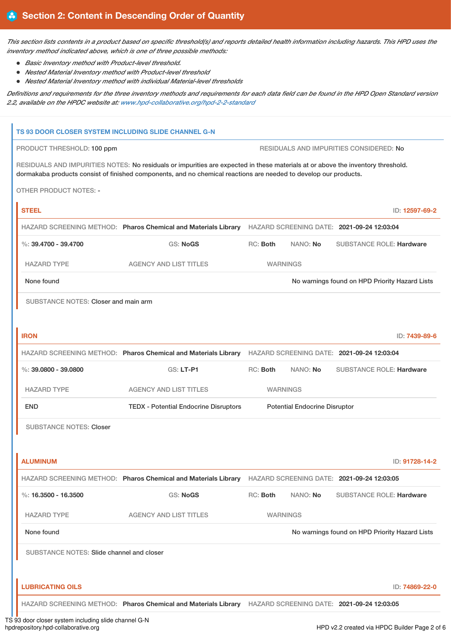This section lists contents in a product based on specific threshold(s) and reports detailed health information including hazards. This HPD uses the *inventory method indicated above, which is one of three possible methods:*

- *Basic Inventory method with Product-level threshold.*
- *Nested Material Inventory method with Product-level threshold*
- *Nested Material Inventory method with individual Material-level thresholds*

Definitions and requirements for the three inventory methods and requirements for each data field can be found in the HPD Open Standard version *2.2, available on the HPDC website at: [www.hpd-collaborative.org/hpd-2-2-standard](https://www.hpd-collaborative.org/hpd-2-2-standard)*

# **TS 93 DOOR CLOSER SYSTEM INCLUDING SLIDE CHANNEL G-N** PRODUCT THRESHOLD: 100 ppm RESIDUALS AND IMPURITIES CONSIDERED: No RESIDUALS AND IMPURITIES NOTES: No residuals or impurities are expected in these materials at or above the inventory threshold. dormakaba products consist of finished components, and no chemical reactions are needed to develop our products. OTHER PRODUCT NOTES: - **STEEL** ID: **12597-69-2** HAZARD SCREENING METHOD: **Pharos Chemical and Materials Library** HAZARD SCREENING DATE: **2021-09-24 12:03:04** %: **39.4700 - 39.4700** GS: **NoGS** RC: **Both** NANO: **No** SUBSTANCE ROLE: **Hardware** HAZARD TYPE AGENCY AND LIST TITLES WARNINGS None found Now arrings found on HPD Priority Hazard Lists SUBSTANCE NOTES: Closer and main arm **IRON** ID: **7439-89-6** HAZARD SCREENING METHOD: **Pharos Chemical and Materials Library** HAZARD SCREENING DATE: **2021-09-24 12:03:04** %: **39.0800 - 39.0800** GS: **LT-P1** RC: **Both** NANO: **No** SUBSTANCE ROLE: **Hardware** HAZARD TYPE AGENCY AND LIST TITLES WARNINGS END TEDX - Potential Endocrine Disruptors Potential Endocrine Disruptor SUBSTANCE NOTES: Closer **ALUMINUM** ID: **91728-14-2** HAZARD SCREENING METHOD: **Pharos Chemical and Materials Library** HAZARD SCREENING DATE: **2021-09-24 12:03:05** %: **16.3500 - 16.3500** GS: **NoGS** RC: **Both** NANO: **No** SUBSTANCE ROLE: **Hardware** HAZARD TYPE AGENCY AND LIST TITLES WARNINGS None found **Now the Internal Act of the Cone of the Internal Act of the Internal Act of the Internal Act of the Internal Act of No warnings found on HPD Priority Hazard Lists** SUBSTANCE NOTES: Slide channel and closer **LUBRICATING OILS** ID: **74869-22-0** HAZARD SCREENING METHOD: **Pharos Chemical and Materials Library** HAZARD SCREENING DATE: **2021-09-24 12:03:05**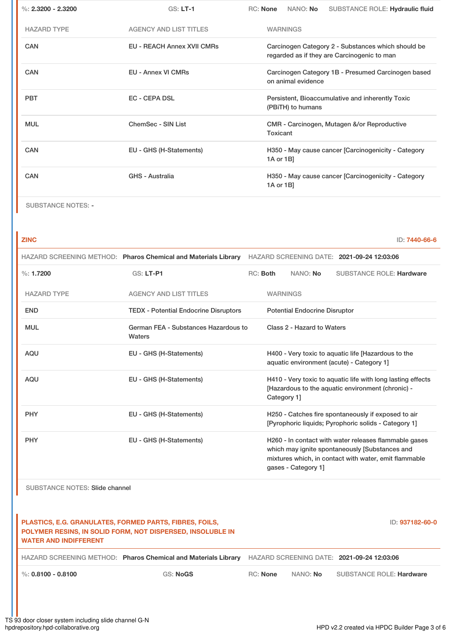| %: $2.3200 - 2.3200$ | GS: LT-1                          | RC: None<br>NANO: No<br>SUBSTANCE ROLE: Hydraulic fluid                                           |  |  |  |  |
|----------------------|-----------------------------------|---------------------------------------------------------------------------------------------------|--|--|--|--|
| <b>HAZARD TYPE</b>   | <b>AGENCY AND LIST TITLES</b>     | <b>WARNINGS</b>                                                                                   |  |  |  |  |
| <b>CAN</b>           | <b>EU - REACH Annex XVII CMRs</b> | Carcinogen Category 2 - Substances which should be<br>regarded as if they are Carcinogenic to man |  |  |  |  |
| <b>CAN</b>           | <b>EU - Annex VI CMRs</b>         | Carcinogen Category 1B - Presumed Carcinogen based<br>on animal evidence                          |  |  |  |  |
| <b>PBT</b>           | <b>EC - CEPA DSL</b>              | Persistent, Bioaccumulative and inherently Toxic<br>(PBITH) to humans                             |  |  |  |  |
| <b>MUL</b>           | ChemSec - SIN List                | CMR - Carcinogen, Mutagen &/or Reproductive<br>Toxicant                                           |  |  |  |  |
| <b>CAN</b>           | EU - GHS (H-Statements)           | H350 - May cause cancer [Carcinogenicity - Category<br>1A or 1B]                                  |  |  |  |  |
| <b>CAN</b>           | GHS - Australia                   | H350 - May cause cancer [Carcinogenicity - Category<br>1A or 1B]                                  |  |  |  |  |
|                      |                                   |                                                                                                   |  |  |  |  |

SUBSTANCE NOTES: -

**ZINC** ID: **7440-66-6**

|                    | HAZARD SCREENING METHOD: Pharos Chemical and Materials Library | HAZARD SCREENING DATE: 2021-09-24 12:03:06 |                 |                                      |                                                                                                                                                                  |
|--------------------|----------------------------------------------------------------|--------------------------------------------|-----------------|--------------------------------------|------------------------------------------------------------------------------------------------------------------------------------------------------------------|
| $\%: 1.7200$       | <b>GS: LT-P1</b>                                               | $RC:$ Both                                 |                 | NANO: No                             | <b>SUBSTANCE ROLE: Hardware</b>                                                                                                                                  |
| <b>HAZARD TYPE</b> | <b>AGENCY AND LIST TITLES</b>                                  |                                            | <b>WARNINGS</b> |                                      |                                                                                                                                                                  |
| <b>END</b>         | <b>TEDX - Potential Endocrine Disruptors</b>                   |                                            |                 | <b>Potential Endocrine Disruptor</b> |                                                                                                                                                                  |
| <b>MUL</b>         | German FEA - Substances Hazardous to<br>Waters                 | Class 2 - Hazard to Waters                 |                 |                                      |                                                                                                                                                                  |
| <b>AQU</b>         | EU - GHS (H-Statements)                                        |                                            |                 |                                      | H400 - Very toxic to aquatic life [Hazardous to the<br>aquatic environment (acute) - Category 1]                                                                 |
| <b>AQU</b>         | EU - GHS (H-Statements)                                        |                                            | Category 1]     |                                      | H410 - Very toxic to aquatic life with long lasting effects<br>[Hazardous to the aquatic environment (chronic) -                                                 |
| <b>PHY</b>         | EU - GHS (H-Statements)                                        |                                            |                 |                                      | H250 - Catches fire spontaneously if exposed to air<br>[Pyrophoric liquids; Pyrophoric solids - Category 1]                                                      |
| <b>PHY</b>         | EU - GHS (H-Statements)                                        |                                            |                 | gases - Category 11                  | H260 - In contact with water releases flammable gases<br>which may ignite spontaneously [Substances and<br>mixtures which, in contact with water, emit flammable |

SUBSTANCE NOTES: Slide channel

**PLASTICS, E.G. GRANULATES, FORMED PARTS, FIBRES, FOILS, POLYMER RESINS, IN SOLID FORM, NOT DISPERSED, INSOLUBLE IN WATER AND INDIFFERENT** ID: **937182-60-0** HAZARD SCREENING METHOD: **Pharos Chemical and Materials Library** HAZARD SCREENING DATE: **2021-09-24 12:03:06** %: **0.8100 - 0.8100** GS: **NoGS** RC: **None** NANO: **No** SUBSTANCE ROLE: **Hardware**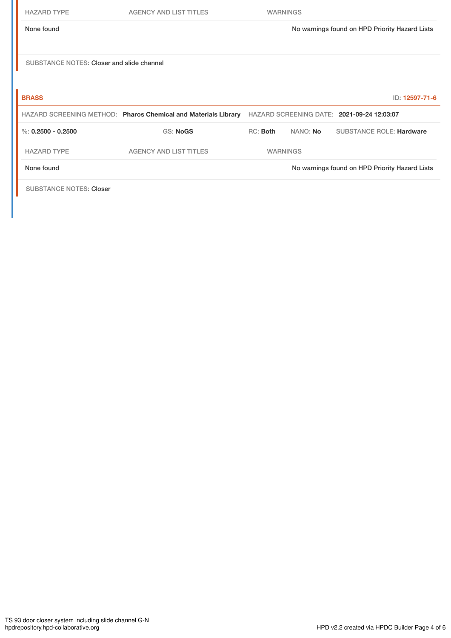|--|--|

| <b>HAZARD TYPE</b>                        | <b>AGENCY AND LIST TITLES</b>                                  | <b>WARNINGS</b> |                 |                                                |
|-------------------------------------------|----------------------------------------------------------------|-----------------|-----------------|------------------------------------------------|
| None found                                |                                                                |                 |                 | No warnings found on HPD Priority Hazard Lists |
|                                           |                                                                |                 |                 |                                                |
|                                           |                                                                |                 |                 |                                                |
| SUBSTANCE NOTES: Closer and slide channel |                                                                |                 |                 |                                                |
|                                           |                                                                |                 |                 |                                                |
| <b>BRASS</b>                              |                                                                |                 |                 | ID: 12597-71-6                                 |
|                                           | HAZARD SCREENING METHOD: Pharos Chemical and Materials Library |                 |                 | HAZARD SCREENING DATE: 2021-09-24 12:03:07     |
| %: $0.2500 - 0.2500$                      | <b>GS: NoGS</b>                                                | RC: Both        | NANO: <b>No</b> | <b>SUBSTANCE ROLE: Hardware</b>                |
| <b>HAZARD TYPE</b>                        | <b>AGENCY AND LIST TITLES</b>                                  | <b>WARNINGS</b> |                 |                                                |
| None found                                |                                                                |                 |                 | No warnings found on HPD Priority Hazard Lists |
|                                           |                                                                |                 |                 |                                                |

SUBSTANCE NOTES: Closer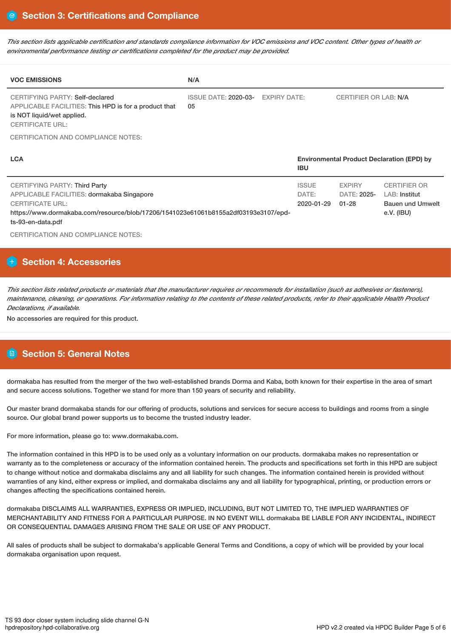This section lists applicable certification and standards compliance information for VOC emissions and VOC content. Other types of health or *environmental performance testing or certifications completed for the product may be provided.*

| <b>VOC EMISSIONS</b>                                                                                                                              | N/A                               |                     |                                                                 |                              |                     |
|---------------------------------------------------------------------------------------------------------------------------------------------------|-----------------------------------|---------------------|-----------------------------------------------------------------|------------------------------|---------------------|
| CERTIFYING PARTY: Self-declared<br>APPLICABLE FACILITIES: This HPD is for a product that<br>is NOT liquid/wet applied.<br><b>CERTIFICATE URL:</b> | <b>ISSUE DATE: 2020-03-</b><br>05 | <b>EXPIRY DATE:</b> |                                                                 | <b>CERTIFIER OR LAB: N/A</b> |                     |
| CERTIFICATION AND COMPLIANCE NOTES:                                                                                                               |                                   |                     |                                                                 |                              |                     |
| <b>LCA</b>                                                                                                                                        |                                   |                     | <b>Environmental Product Declaration (EPD) by</b><br><b>IBU</b> |                              |                     |
| CERTIFYING PARTY: Third Party                                                                                                                     |                                   |                     | <b>ISSUE</b>                                                    | <b>EXPIRY</b>                | <b>CERTIFIER OR</b> |

DATE: 2020-01-29 DATE: 2025- LAB: Institut

Bauen und Umwelt

e.V. (IBU)

01-28

APPLICABLE FACILITIES: dormakaba Singapore CERTIFICATE URL: https://www.dormakaba.com/resource/blob/17206/1541023e61061b8155a2df03193e3107/epdts-93-en-data.pdf

CERTIFICATION AND COMPLIANCE NOTES:

# **H** Section 4: Accessories

This section lists related products or materials that the manufacturer requires or recommends for installation (such as adhesives or fasteners), maintenance, cleaning, or operations. For information relating to the contents of these related products, refer to their applicable Health Product *Declarations, if available.*

No accessories are required for this product.

# **Section 5: General Notes**

dormakaba has resulted from the merger of the two well-established brands Dorma and Kaba, both known for their expertise in the area of smart and secure access solutions. Together we stand for more than 150 years of security and reliability.

Our master brand dormakaba stands for our offering of products, solutions and services for secure access to buildings and rooms from a single source. Our global brand power supports us to become the trusted industry leader.

For more information, please go to: www.dormakaba.com.

The information contained in this HPD is to be used only as a voluntary information on our products. dormakaba makes no representation or warranty as to the completeness or accuracy of the information contained herein. The products and specifications set forth in this HPD are subject to change without notice and dormakaba disclaims any and all liability for such changes. The information contained herein is provided without warranties of any kind, either express or implied, and dormakaba disclaims any and all liability for typographical, printing, or production errors or changes affecting the specifications contained herein.

dormakaba DISCLAIMS ALL WARRANTIES, EXPRESS OR IMPLIED, INCLUDING, BUT NOT LIMITED TO, THE IMPLIED WARRANTIES OF MERCHANTABILITY AND FITNESS FOR A PARTICULAR PURPOSE. IN NO EVENT WILL dormakaba BE LIABLE FOR ANY INCIDENTAL, INDIRECT OR CONSEQUENTIAL DAMAGES ARISING FROM THE SALE OR USE OF ANY PRODUCT.

All sales of products shall be subject to dormakaba's applicable General Terms and Conditions, a copy of which will be provided by your local dormakaba organisation upon request.